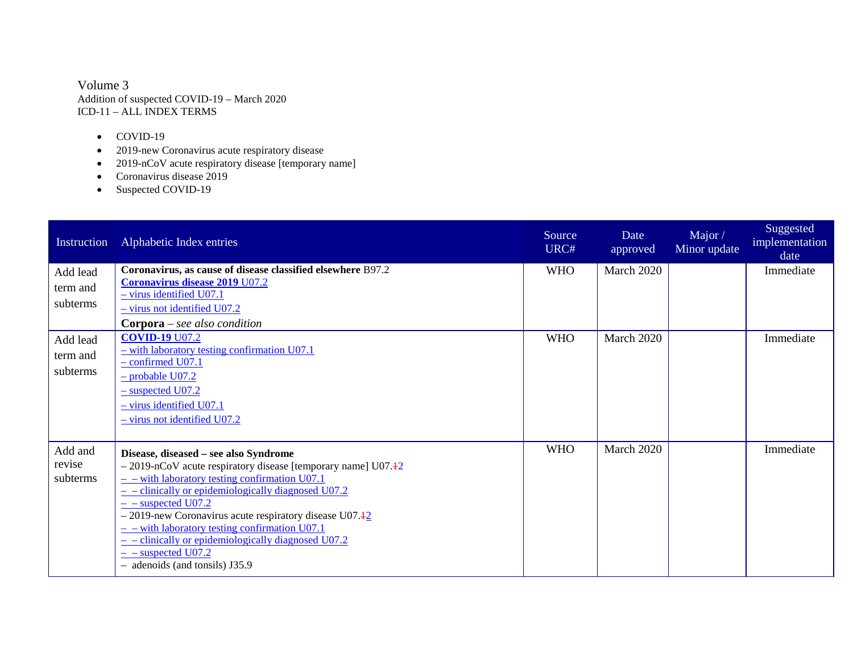Volume 3 Addition of suspected COVID-19 – March 2020 ICD-11 – ALL INDEX TERMS

- COVID-19
- 2019-new Coronavirus acute respiratory disease
- 2019-nCoV acute respiratory disease [temporary name]
- Coronavirus disease 2019
- Suspected COVID-19

| Instruction                      | Alphabetic Index entries                                                                                                                                                                                                                                                                                                                                                                                                                                                                       | Source<br>URC# | Date<br>approved | Major/<br>Minor update | Suggested<br>implementation<br>date |
|----------------------------------|------------------------------------------------------------------------------------------------------------------------------------------------------------------------------------------------------------------------------------------------------------------------------------------------------------------------------------------------------------------------------------------------------------------------------------------------------------------------------------------------|----------------|------------------|------------------------|-------------------------------------|
| Add lead<br>term and<br>subterms | Coronavirus, as cause of disease classified elsewhere B97.2<br><b>Coronavirus disease 2019 U07.2</b><br>$-$ virus identified U07.1<br><u>- virus not identified U07.2</u>                                                                                                                                                                                                                                                                                                                      | <b>WHO</b>     | March 2020       |                        | Immediate                           |
|                                  | <b>Corpora</b> $-$ see also condition<br><b>COVID-19 U07.2</b>                                                                                                                                                                                                                                                                                                                                                                                                                                 |                |                  |                        |                                     |
| Add lead<br>term and<br>subterms | $-$ with laboratory testing confirmation U07.1<br>- confirmed U07.1<br>$-$ probable U07.2<br>$-$ suspected U07.2<br>- virus identified U07.1<br>$-$ virus not identified U07.2                                                                                                                                                                                                                                                                                                                 | <b>WHO</b>     | March 2020       |                        | Immediate                           |
| Add and<br>revise<br>subterms    | Disease, diseased - see also Syndrome<br>- 2019-nCoV acute respiratory disease [temporary name] U07.42<br>$-$ - with laboratory testing confirmation U07.1<br>$-$ - clinically or epidemiologically diagnosed U07.2<br>$-$ – suspected U07.2<br>$-2019$ -new Coronavirus acute respiratory disease U07. $\frac{12}{2}$<br>$-$ - with laboratory testing confirmation U07.1<br>$-$ - clinically or epidemiologically diagnosed U07.2<br>$-$ – suspected U07.2<br>- adenoids (and tonsils) J35.9 | <b>WHO</b>     | March 2020       |                        | Immediate                           |